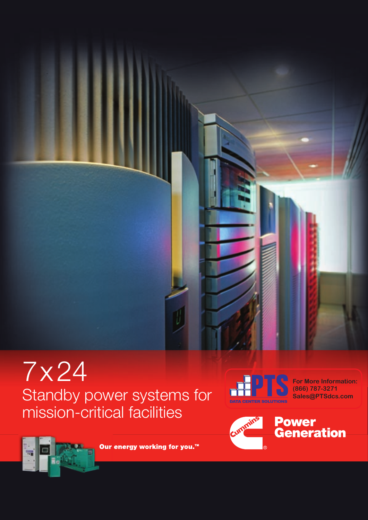



**For More Information: (866) 787-3271 Sales@PTSdcs.com**





Our energy working for you.<sup>™</sup>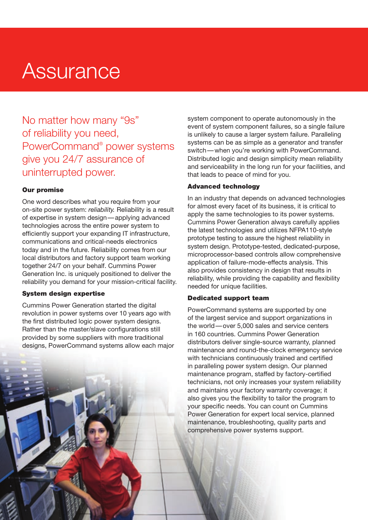# **Assurance**

No matter how many "9s" of reliability you need, PowerCommand® power systems give you 24/7 assurance of uninterrupted power.

# Our promise

One word describes what you require from your on-site power system: *reliability.* Reliability is a result of expertise in system design — applying advanced technologies across the entire power system to efficiently support your expanding IT infrastructure, communications and critical-needs electronics today and in the future. Reliability comes from our local distributors and factory support team working together 24/7 on your behalf. Cummins Power Generation Inc. is uniquely positioned to deliver the reliability you demand for your mission-critical facility.

# System design expertise

Cummins Power Generation started the digital revolution in power systems over 10 years ago with the first distributed logic power system designs. Rather than the master/slave configurations still provided by some suppliers with more traditional designs, PowerCommand systems allow each major

system component to operate autonomously in the event of system component failures, so a single failure is unlikely to cause a larger system failure. Paralleling systems can be as simple as a generator and transfer switch — when you're working with PowerCommand. Distributed logic and design simplicity mean reliability and serviceability in the long run for your facilities, and that leads to peace of mind for you.

# Advanced technology

In an industry that depends on advanced technologies for almost every facet of its business, it is critical to apply the same technologies to its power systems. Cummins Power Generation always carefully applies the latest technologies and utilizes NFPA110-style prototype testing to assure the highest reliability in system design. Prototype-tested, dedicated-purpose, microprocessor-based controls allow comprehensive application of failure-mode-effects analysis. This also provides consistency in design that results in reliability, while providing the capability and flexibility needed for unique facilities.

# Dedicated support team

PowerCommand systems are supported by one of the largest service and support organizations in the world — over 5,000 sales and service centers in 160 countries. Cummins Power Generation distributors deliver single-source warranty, planned maintenance and round-the-clock emergency service with technicians continuously trained and certified in paralleling power system design. Our planned maintenance program, staffed by factory-certified technicians, not only increases your system reliability and maintains your factory warranty coverage; it also gives you the flexibility to tailor the program to your specific needs. You can count on Cummins Power Generation for expert local service, planned maintenance, troubleshooting, quality parts and comprehensive power systems support.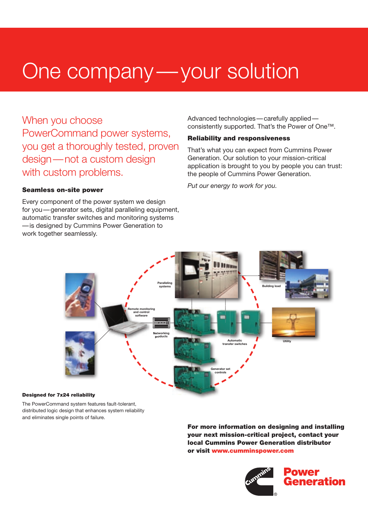# One company — your solution

When you choose PowerCommand power systems, you get a thoroughly tested, proven design — not a custom design with custom problems.

## Seamless on-site power

Every component of the power system we design for you — generator sets, digital paralleling equipment, automatic transfer switches and monitoring systems — is designed by Cummins Power Generation to work together seamlessly.

Advanced technologies — carefully applied consistently supported. That's the Power of One™.

## Reliability and responsiveness

That's what you can expect from Cummins Power Generation. Our solution to your mission-critical application is brought to you by people you can trust: the people of Cummins Power Generation.

*Put our energy to work for you.*



#### Designed for 7x24 reliability

The PowerCommand system features fault-tolerant, distributed logic design that enhances system reliability and eliminates single points of failure.

> For more information on designing and installing your next mission-critical project, contact your local Cummins Power Generation distributor or visit www.cumminspower.com